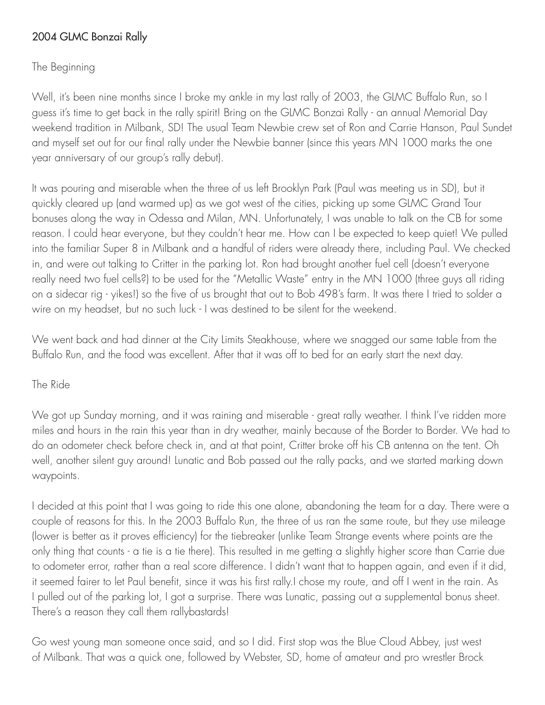## 2004 GLMC Bonzai Rally

## The Beginning

Well, it's been nine months since I broke my ankle in my last rally of 2003, the GLMC Buffalo Run, so I guess it's time to get back in the rally spirit! Bring on the GLMC Bonzai Rally - an annual Memorial Day weekend tradition in Milbank, SD! The usual Team Newbie crew set of Ron and Carrie Hanson, Paul Sundet and myself set out for our final rally under the Newbie banner (since this years MN 1000 marks the one year anniversary of our group's rally debut).

It was pouring and miserable when the three of us left Brooklyn Park (Paul was meeting us in SD), but it quickly cleared up (and warmed up) as we got west of the cities, picking up some GLMC Grand Tour bonuses along the way in Odessa and Milan, MN. Unfortunately, I was unable to talk on the CB for some reason. I could hear everyone, but they couldn't hear me. How can I be expected to keep quiet! We pulled into the familiar Super 8 in Milbank and a handful of riders were already there, including Paul. We checked in, and were out talking to Critter in the parking lot. Ron had brought another fuel cell (doesn't everyone really need two fuel cells?) to be used for the "Metallic Waste" entry in the MN 1000 (three guys all riding on a sidecar rig - yikes!) so the five of us brought that out to Bob 498's farm. It was there I tried to solder a wire on my headset, but no such luck - I was destined to be silent for the weekend.

We went back and had dinner at the City Limits Steakhouse, where we snagged our same table from the Buffalo Run, and the food was excellent. After that it was off to bed for an early start the next day.

## The Ride

We got up Sunday morning, and it was raining and miserable - great rally weather. I think I've ridden more miles and hours in the rain this year than in dry weather, mainly because of the Border to Border. We had to do an odometer check before check in, and at that point, Critter broke off his CB antenna on the tent. Oh well, another silent guy around! Lunatic and Bob passed out the rally packs, and we started marking down waypoints.

I decided at this point that I was going to ride this one alone, abandoning the team for a day. There were a couple of reasons for this. In the 2003 Buffalo Run, the three of us ran the same route, but they use mileage (lower is better as it proves efficiency) for the tiebreaker (unlike Team Strange events where points are the only thing that counts - a tie is a tie there). This resulted in me getting a slightly higher score than Carrie due to odometer error, rather than a real score difference. I didn't want that to happen again, and even if it did, it seemed fairer to let Paul benefit, since it was his first rally.I chose my route, and off I went in the rain. As I pulled out of the parking lot, I got a surprise. There was Lunatic, passing out a supplemental bonus sheet. There's a reason they call them rallybastards!

Go west young man someone once said, and so I did. First stop was the Blue Cloud Abbey, just west of Milbank. That was a quick one, followed by Webster, SD, home of amateur and pro wrestler Brock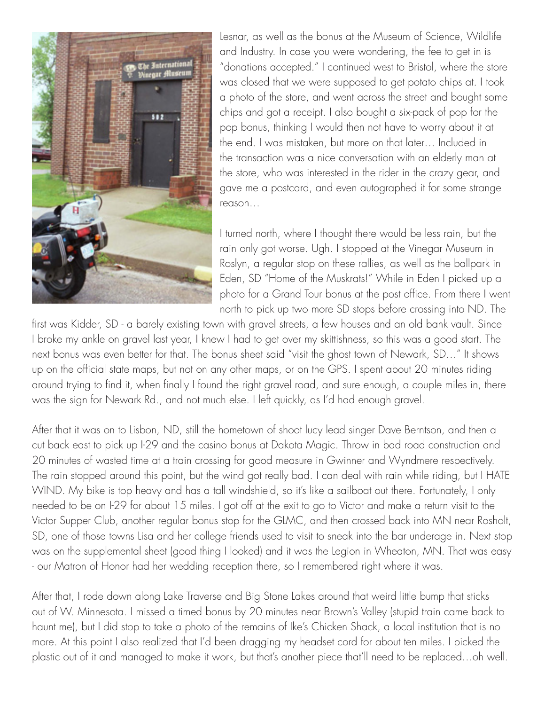

Lesnar, as well as the bonus at the Museum of Science, Wildlife and Industry. In case you were wondering, the fee to get in is "donations accepted." I continued west to Bristol, where the store was closed that we were supposed to get potato chips at. I took a photo of the store, and went across the street and bought some chips and got a receipt. I also bought a six-pack of pop for the pop bonus, thinking I would then not have to worry about it at the end. I was mistaken, but more on that later… Included in the transaction was a nice conversation with an elderly man at the store, who was interested in the rider in the crazy gear, and gave me a postcard, and even autographed it for some strange reason…

I turned north, where I thought there would be less rain, but the rain only got worse. Ugh. I stopped at the Vinegar Museum in Roslyn, a regular stop on these rallies, as well as the ballpark in Eden, SD "Home of the Muskrats!" While in Eden I picked up a photo for a Grand Tour bonus at the post office. From there I went north to pick up two more SD stops before crossing into ND. The

first was Kidder, SD - a barely existing town with gravel streets, a few houses and an old bank vault. Since I broke my ankle on gravel last year, I knew I had to get over my skittishness, so this was a good start. The next bonus was even better for that. The bonus sheet said "visit the ghost town of Newark, SD…" It shows up on the official state maps, but not on any other maps, or on the GPS. I spent about 20 minutes riding around trying to find it, when finally I found the right gravel road, and sure enough, a couple miles in, there was the sign for Newark Rd., and not much else. I left quickly, as I'd had enough gravel.

After that it was on to Lisbon, ND, still the hometown of shoot lucy lead singer Dave Berntson, and then a cut back east to pick up I-29 and the casino bonus at Dakota Magic. Throw in bad road construction and 20 minutes of wasted time at a train crossing for good measure in Gwinner and Wyndmere respectively. The rain stopped around this point, but the wind got really bad. I can deal with rain while riding, but I HATE WIND. My bike is top heavy and has a tall windshield, so it's like a sailboat out there. Fortunately, I only needed to be on I-29 for about 15 miles. I got off at the exit to go to Victor and make a return visit to the Victor Supper Club, another regular bonus stop for the GLMC, and then crossed back into MN near Rosholt, SD, one of those towns Lisa and her college friends used to visit to sneak into the bar underage in. Next stop was on the supplemental sheet (good thing I looked) and it was the Legion in Wheaton, MN. That was easy - our Matron of Honor had her wedding reception there, so I remembered right where it was.

After that, I rode down along Lake Traverse and Big Stone Lakes around that weird little bump that sticks out of W. Minnesota. I missed a timed bonus by 20 minutes near Brown's Valley (stupid train came back to haunt me), but I did stop to take a photo of the remains of Ike's Chicken Shack, a local institution that is no more. At this point I also realized that I'd been dragging my headset cord for about ten miles. I picked the plastic out of it and managed to make it work, but that's another piece that'll need to be replaced…oh well.